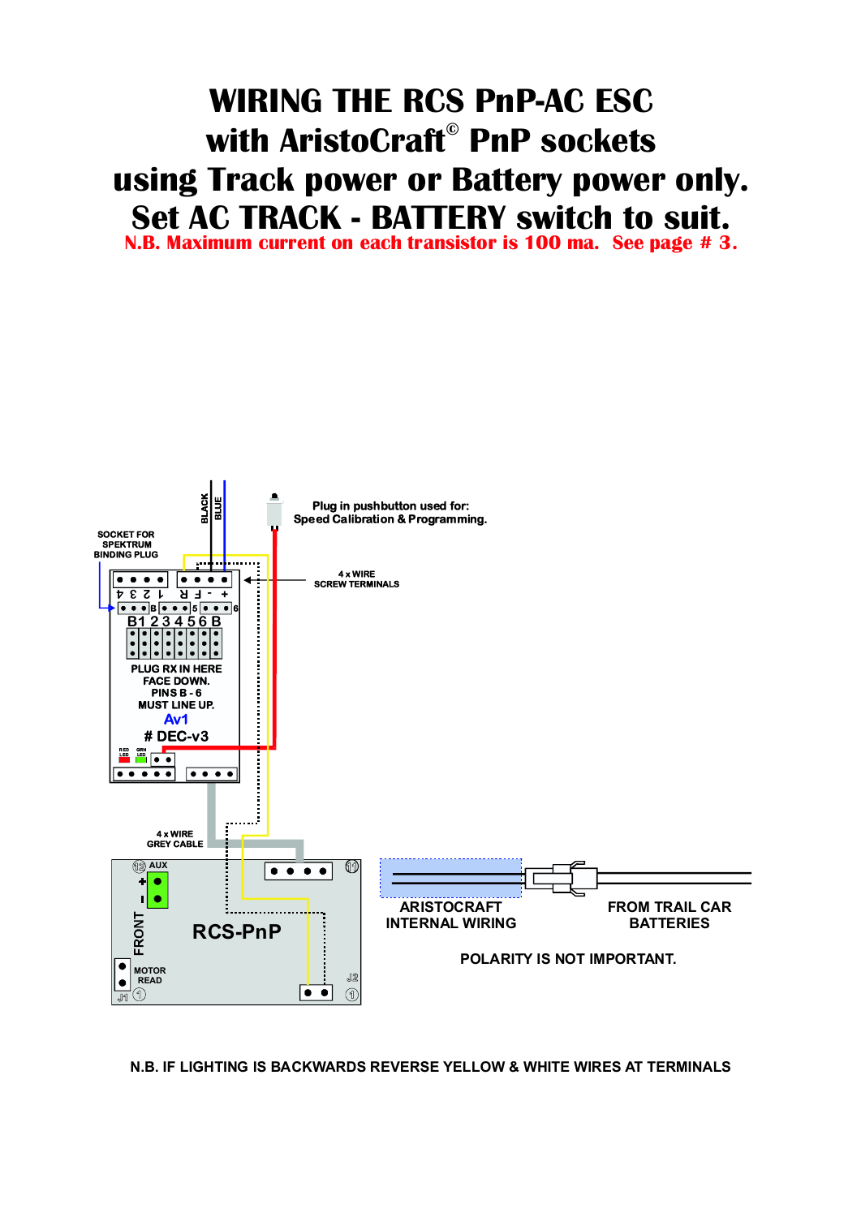# **WIRING THE RCS PnP-AC ESC with AristoCraft PnP sockets © using Track power or Battery power only. Set AC TRACK - BATTERY switch to suit.**

**N.B. Maximum current on each transistor is 100 ma. See page # 3.**

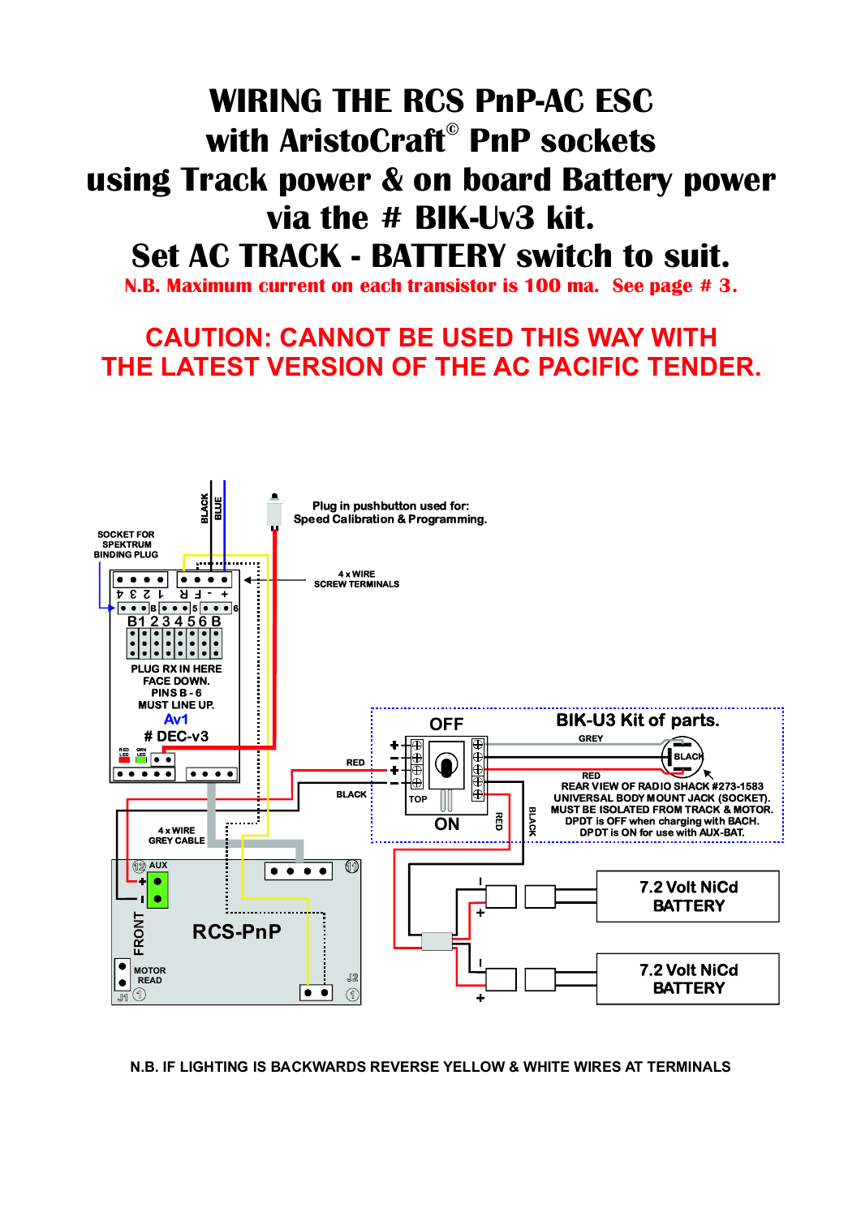# **WIRING THE RCS PnP-AC ESC with AristoCraft PnP sockets © using Track power & on board Battery power via the # BIK-Uv3 kit. Set AC TRACK - BATTERY switch to suit.**

**N.B. Maximum current on each transistor is 100 ma. See page # 3.**

### **CAUTION: CANNOT BE USED THIS WAY WITH THE LATEST VERSION OF THE AC PACIFIC TENDER.**

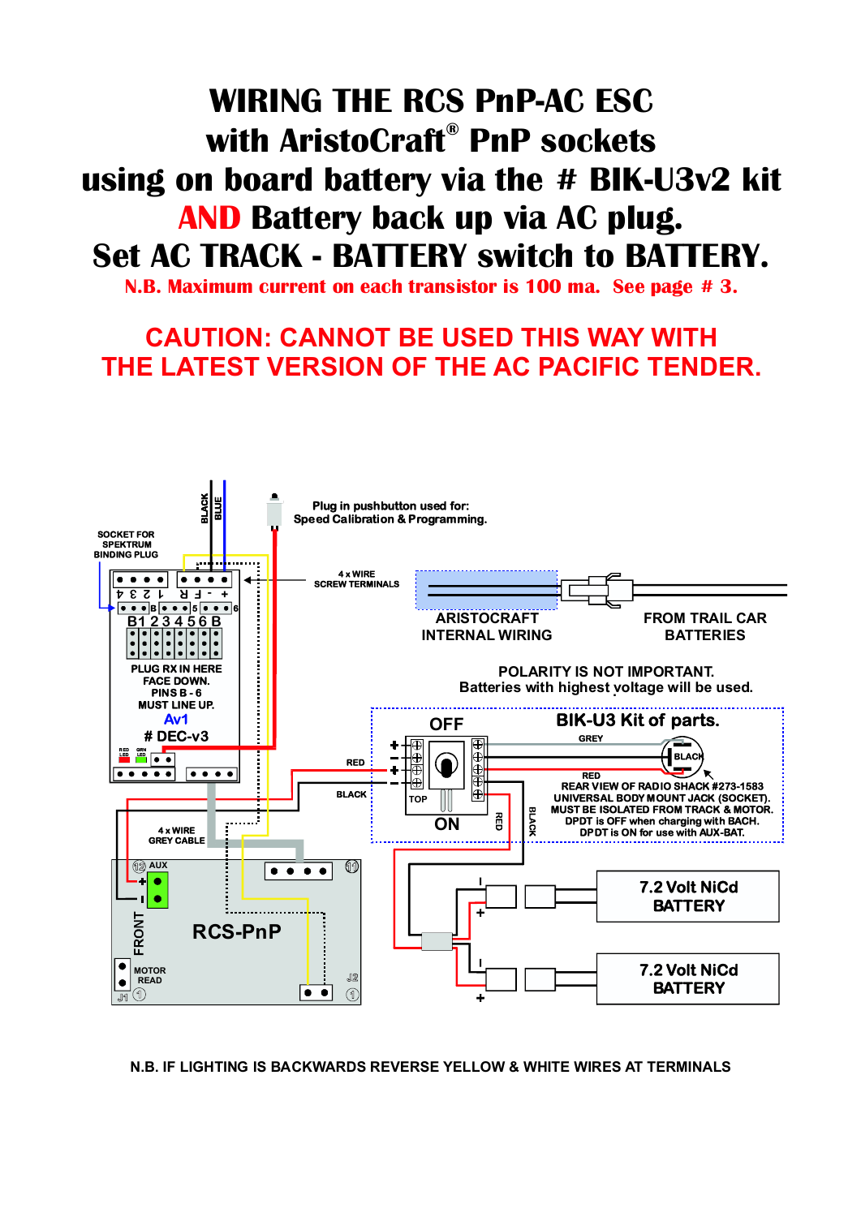## **WIRING THE RCS PnP-AC ESC** using on board battery via the # BIK-U3v2 kit **with AristoCraft PnP sockets ® AND Battery back up via AC plug. Set AC TRACK - BATTERY switch to BATTERY.**

**N.B. Maximum current on each transistor is 100 ma. See page # 3.**

### **CAUTION: CANNOT BE USED THIS WAY WITH THE LATEST VERSION OF THE AC PACIFIC TENDER.**

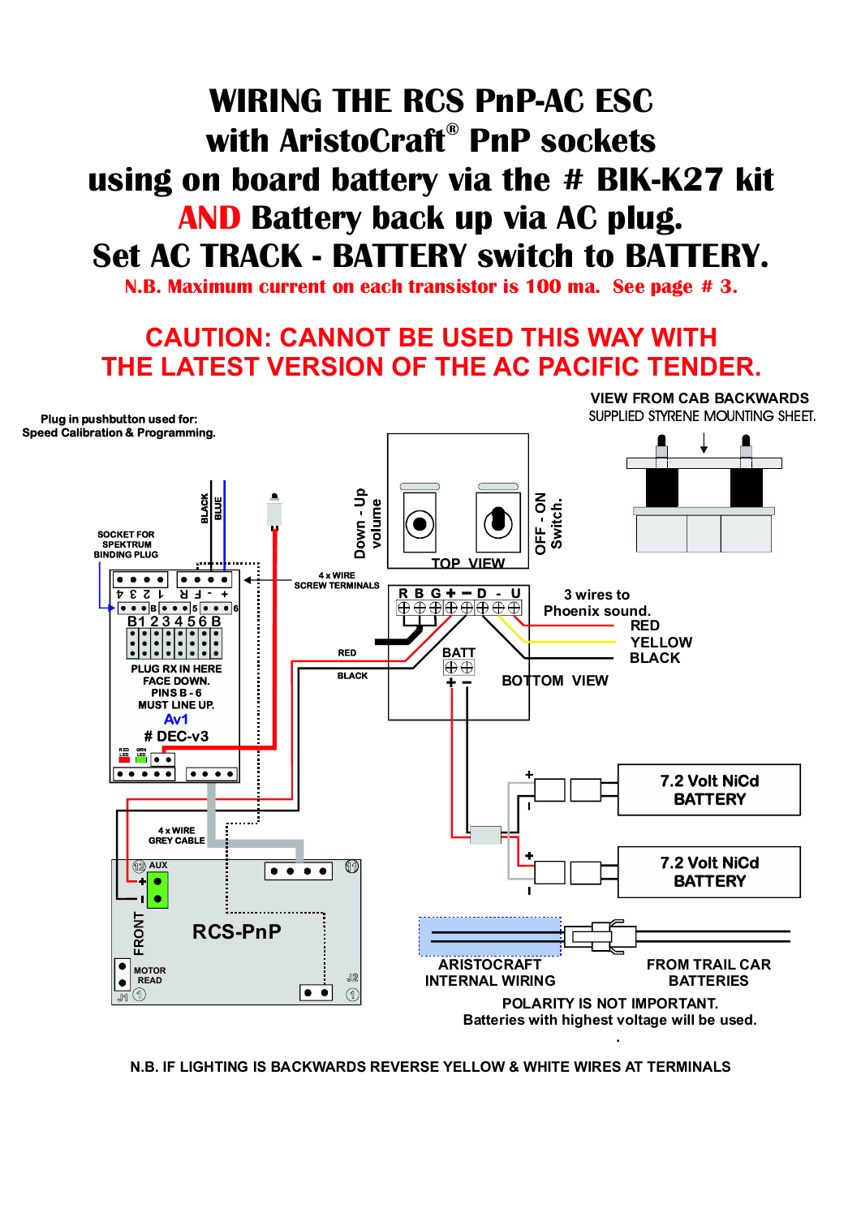# **WIRING THE RCS PnP-AC ESC** using on board battery via the # BIK-K27 kit **with AristoCraft PnP sockets ® AND Battery back up via AC plug. Set AC TRACK - BATTERY switch to BATTERY.**

**N.B. Maximum current on each transistor is 100 ma. See page # 3.**

#### **CAUTION: CANNOT BE USED THIS WAY WITH THE LATEST VERSION OF THE AC PACIFIC TENDER.**